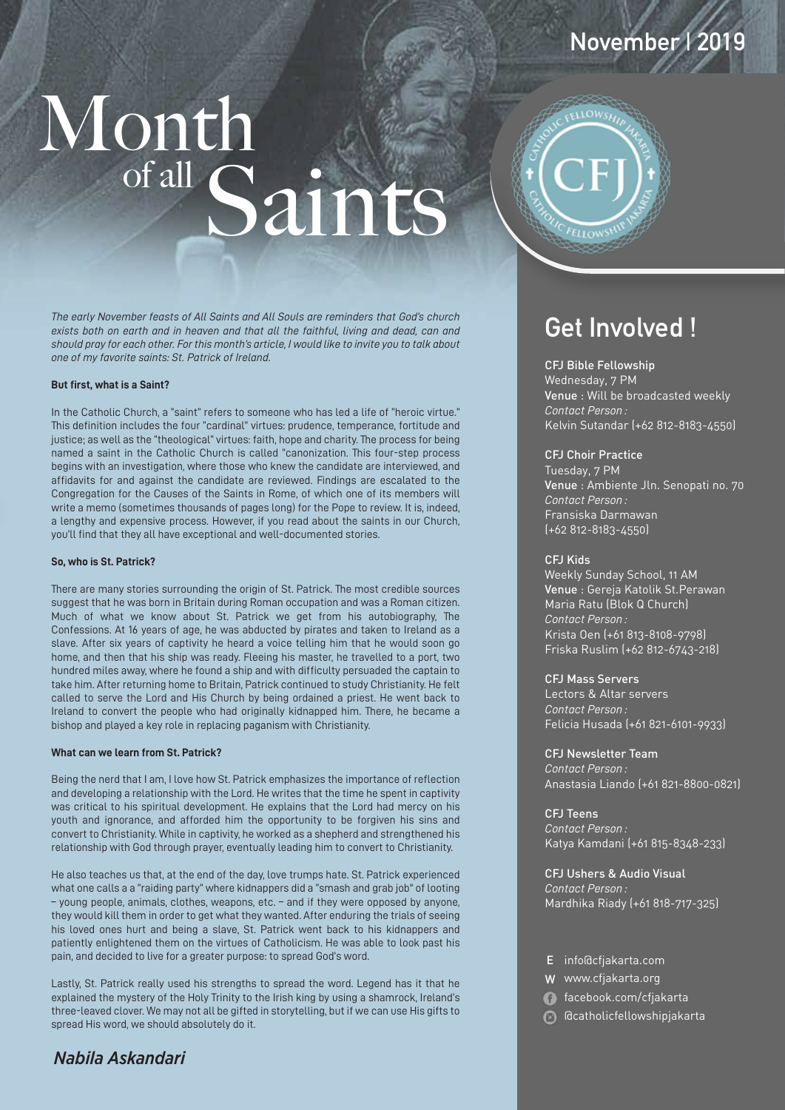# Month Saints



*The early November feasts of All Saints and All Souls are reminders that God's church exists both on earth and in heaven and that all the faithful, living and dead, can and should pray for each other. For this month's article, I would like to invite you to talk about one of my favorite saints: St. Patrick of Ireland.*

#### **But first, what is a Saint?**

In the Catholic Church, a "saint" refers to someone who has led a life of "heroic virtue." This definition includes the four "cardinal" virtues: prudence, temperance, fortitude and justice; as well as the "theological" virtues: faith, hope and charity. The process for being named a saint in the Catholic Church is called "canonization. This four-step process begins with an investigation, where those who knew the candidate are interviewed, and affidavits for and against the candidate are reviewed. Findings are escalated to the Congregation for the Causes of the Saints in Rome, of which one of its members will write a memo (sometimes thousands of pages long) for the Pope to review. It is, indeed, a lengthy and expensive process. However, if you read about the saints in our Church, you'll find that they all have exceptional and well-documented stories.

#### **So, who is St. Patrick?**

There are many stories surrounding the origin of St. Patrick. The most credible sources suggest that he was born in Britain during Roman occupation and was a Roman citizen. Much of what we know about St. Patrick we get from his autobiography, The Confessions. At 16 years of age, he was abducted by pirates and taken to Ireland as a slave. After six years of captivity he heard a voice telling him that he would soon go home, and then that his ship was ready. Fleeing his master, he travelled to a port, two hundred miles away, where he found a ship and with difficulty persuaded the captain to take him. After returning home to Britain, Patrick continued to study Christianity. He felt called to serve the Lord and His Church by being ordained a priest. He went back to Ireland to convert the people who had originally kidnapped him. There, he became a bishop and played a key role in replacing paganism with Christianity.

#### **What can we learn from St. Patrick?**

Being the nerd that I am, I love how St. Patrick emphasizes the importance of reflection and developing a relationship with the Lord. He writes that the time he spent in captivity was critical to his spiritual development. He explains that the Lord had mercy on his youth and ignorance, and afforded him the opportunity to be forgiven his sins and convert to Christianity. While in captivity, he worked as a shepherd and strengthened his relationship with God through prayer, eventually leading him to convert to Christianity.

He also teaches us that, at the end of the day, love trumps hate. St. Patrick experienced what one calls a a "raiding party" where kidnappers did a "smash and grab job" of looting – young people, animals, clothes, weapons, etc. – and if they were opposed by anyone, they would kill them in order to get what they wanted. After enduring the trials of seeing his loved ones hurt and being a slave, St. Patrick went back to his kidnappers and patiently enlightened them on the virtues of Catholicism. He was able to look past his pain, and decided to live for a greater purpose: to spread God's word.

Lastly, St. Patrick really used his strengths to spread the word. Legend has it that he explained the mystery of the Holy Trinity to the Irish king by using a shamrock, Ireland's three-leaved clover. We may not all be gifted in storytelling, but if we can use His gifts to spread His word, we should absolutely do it.

### *Nabila Askandari*

# **Get Involved !**

#### CFJ Bible Fellowship

Wednesday, 7 PM Venue : Will be broadcasted weekly *Contact Person :* Kelvin Sutandar (+62 812-8183-4550)

**November | 2019**

#### CFJ Choir Practice

Tuesday, 7 PM Venue : Ambiente Jln. Senopati no. 70 *Contact Person :* Fransiska Darmawan (+62 812-8183-4550)

#### CFJ Kids

Weekly Sunday School, 11 AM Venue : Gereja Katolik St.Perawan *Contact Person :* Krista Oen (+61 813-8108-9798) Friska Ruslim (+62 812-6743-218) Maria Ratu (Blok Q Church)

#### CFJ Mass Servers

Lectors & Altar servers *Contact Person :* Felicia Husada (+61 821-6101-9933)

CFJ Newsletter Team *Contact Person :* Anastasia Liando (+61 821-8800-0821)

CFJ Teens *Contact Person :* Katya Kamdani (+61 815-8348-233)

CFJ Ushers & Audio Visual *Contact Person :* Mardhika Riady (+61 818-717-325)

- E info@cfjakarta.com
- W www.cfjakarta.org
- facebook.com/cfjakarta
- @catholicfellowshipjakarta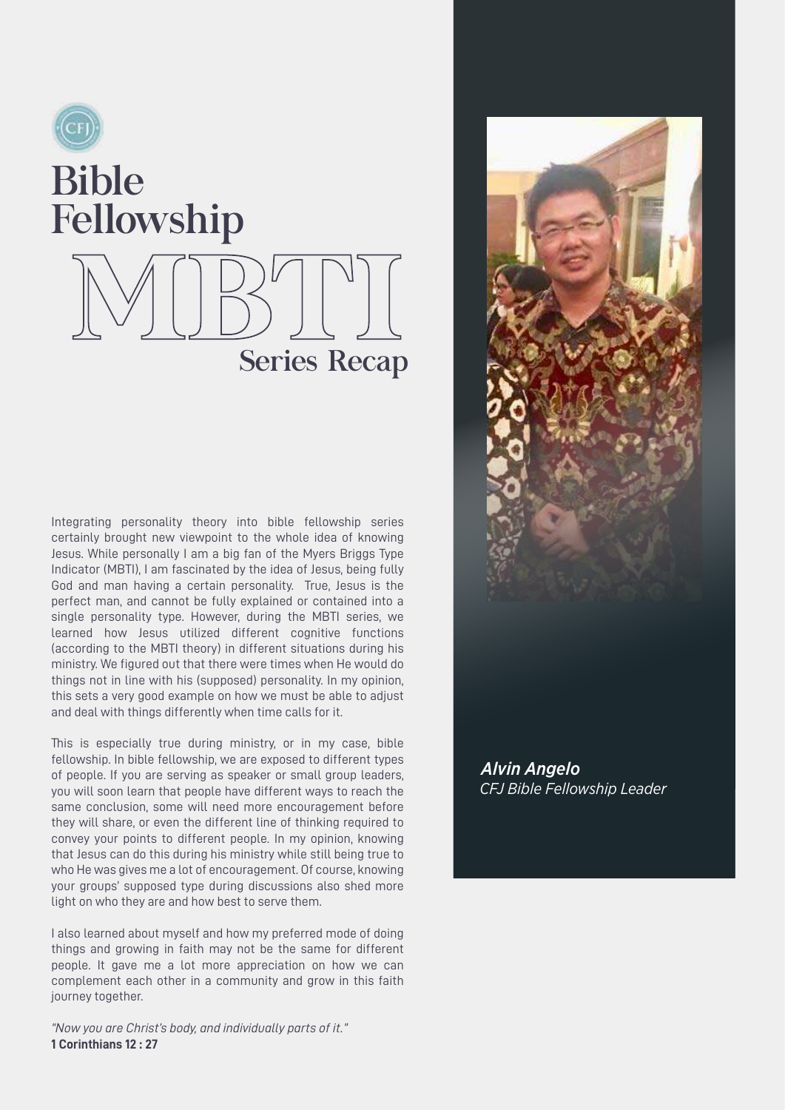# Bible Fellowship

Series Recap

Integrating personality theory into bible fellowship series certainly brought new viewpoint to the whole idea of knowing Jesus. While personally I am a big fan of the Myers Briggs Type Indicator (MBTI), I am fascinated by the idea of Jesus, being fully God and man having a certain personality. True, Jesus is the perfect man, and cannot be fully explained or contained into a single personality type. However, during the MBTI series, we learned how Jesus utilized different cognitive functions (according to the MBTI theory) in different situations during his ministry. We figured out that there were times when He would do things not in line with his (supposed) personality. In my opinion, this sets a very good example on how we must be able to adjust and deal with things differently when time calls for it.

This is especially true during ministry, or in my case, bible fellowship. In bible fellowship, we are exposed to different types of people. If you are serving as speaker or small group leaders, you will soon learn that people have different ways to reach the same conclusion, some will need more encouragement before they will share, or even the different line of thinking required to convey your points to different people. In my opinion, knowing that Jesus can do this during his ministry while still being true to who He was gives me a lot of encouragement. Of course, knowing your groups' supposed type during discussions also shed more light on who they are and how best to serve them.

I also learned about myself and how my preferred mode of doing things and growing in faith may not be the same for different people. It gave me a lot more appreciation on how we can complement each other in a community and grow in this faith journey together.

*"Now you are Christ's body, and individually parts of it."*  **1 Corinthians 12 : 27**



*CFJ Bible Fellowship Leader Alvin Angelo*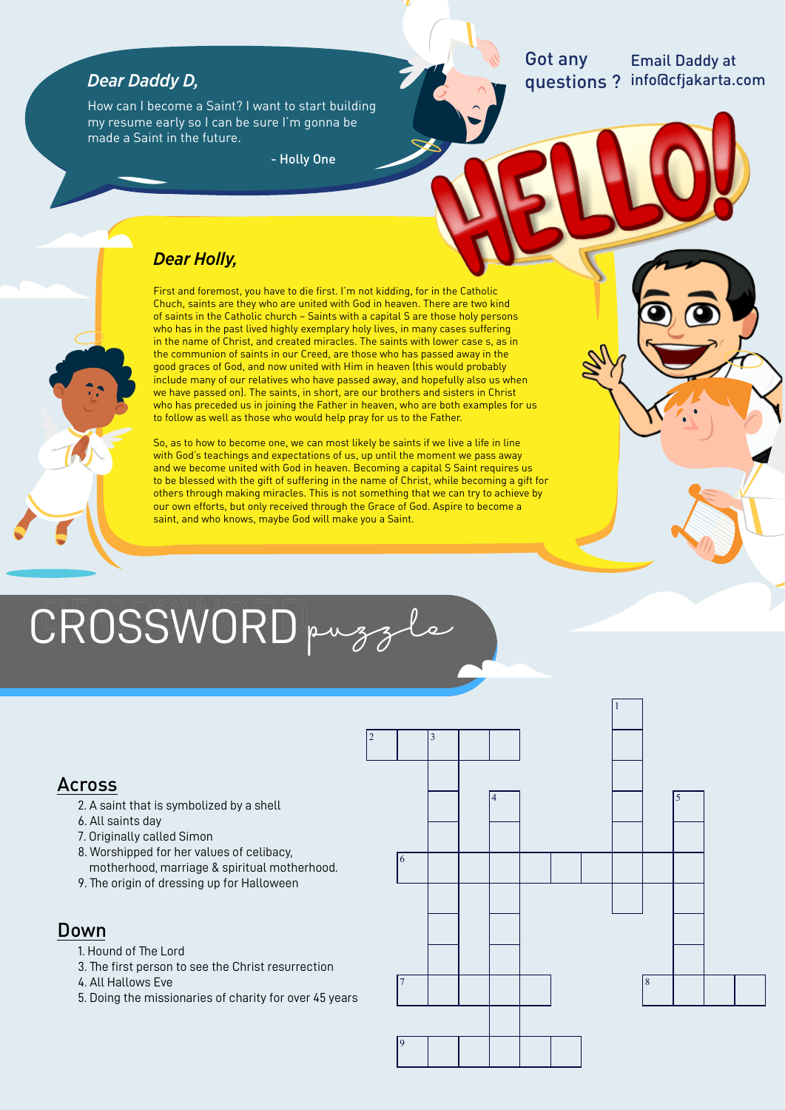## *Dear Daddy D,*

How can I become a Saint? I want to start building my resume early so I can be sure I'm gonna be made a Saint in the future.

- Holly One

#### Got any questions ? info@cfjakarta.com Email Daddy at

## *Dear Holly,*

First and foremost, you have to die first. I'm not kidding, for in the Catholic Chuch, saints are they who are united with God in heaven. There are two kind of saints in the Catholic church – Saints with a capital S are those holy persons who has in the past lived highly exemplary holy lives, in many cases suffering in the name of Christ, and created miracles. The saints with lower case s, as in the communion of saints in our Creed, are those who has passed away in the good graces of God, and now united with Him in heaven (this would probably include many of our relatives who have passed away, and hopefully also us when we have passed on). The saints, in short, are our brothers and sisters in Christ who has preceded us in joining the Father in heaven, who are both examples for us to follow as well as those who would help pray for us to the Father.

So, as to how to become one, we can most likely be saints if we live a life in line with God's teachings and expectations of us, up until the moment we pass away and we become united with God in heaven. Becoming a capital S Saint requires us to be blessed with the gift of suffering in the name of Christ, while becoming a gift for others through making miracles. This is not something that we can try to achieve by our own efforts, but only received through the Grace of God. Aspire to become a saint, and who knows, maybe God will make you a Saint.

# CROSSWORD puzzle

# Across

- 2. A saint that is symbolized by a shell
- 6. All saints day
- 7. Originally called Simon
- 8. Worshipped for her values of celibacy,
- motherhood, marriage & spiritual motherhood. 9. The origin of dressing up for Halloween

### Down

- 1. Hound of The Lord
- 3. The first person to see the Christ resurrection
- 4. All Hallows Eve
- 5. Doing the missionaries of charity for over 45 years